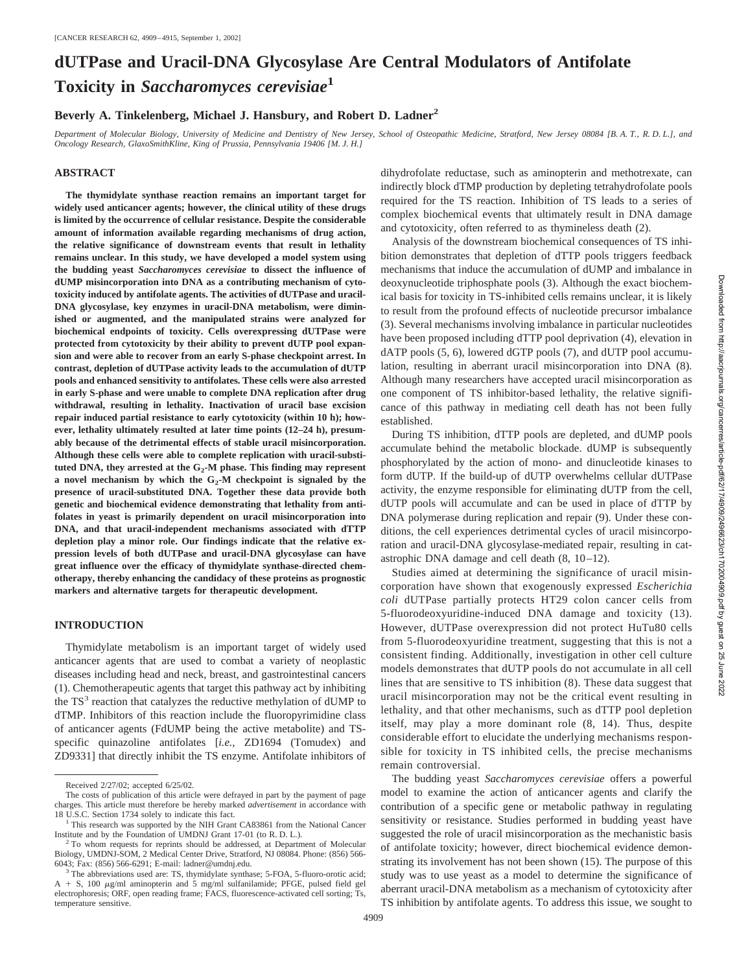# **dUTPase and Uracil-DNA Glycosylase Are Central Modulators of Antifolate Toxicity in** *Saccharomyces cerevisiae***<sup>1</sup>**

## **Beverly A. Tinkelenberg, Michael J. Hansbury, and Robert D. Ladner2**

*Department of Molecular Biology, University of Medicine and Dentistry of New Jersey, School of Osteopathic Medicine, Stratford, New Jersey 08084 [B. A. T., R. D. L.], and Oncology Research, GlaxoSmithKline, King of Prussia, Pennsylvania 19406 [M. J. H.]*

## **ABSTRACT**

**The thymidylate synthase reaction remains an important target for widely used anticancer agents; however, the clinical utility of these drugs is limited by the occurrence of cellular resistance. Despite the considerable amount of information available regarding mechanisms of drug action, the relative significance of downstream events that result in lethality remains unclear. In this study, we have developed a model system using the budding yeast** *Saccharomyces cerevisiae* **to dissect the influence of dUMP misincorporation into DNA as a contributing mechanism of cytotoxicity induced by antifolate agents. The activities of dUTPase and uracil-DNA glycosylase, key enzymes in uracil-DNA metabolism, were diminished or augmented, and the manipulated strains were analyzed for biochemical endpoints of toxicity. Cells overexpressing dUTPase were protected from cytotoxicity by their ability to prevent dUTP pool expansion and were able to recover from an early S-phase checkpoint arrest. In contrast, depletion of dUTPase activity leads to the accumulation of dUTP pools and enhanced sensitivity to antifolates. These cells were also arrested in early S-phase and were unable to complete DNA replication after drug withdrawal, resulting in lethality. Inactivation of uracil base excision repair induced partial resistance to early cytotoxicity (within 10 h); however, lethality ultimately resulted at later time points (12–24 h), presumably because of the detrimental effects of stable uracil misincorporation. Although these cells were able to complete replication with uracil-substi**tuted DNA, they arrested at the G<sub>2</sub>-M phase. This finding may represent a novel mechanism by which the  $G_2$ -M checkpoint is signaled by the **presence of uracil-substituted DNA. Together these data provide both genetic and biochemical evidence demonstrating that lethality from antifolates in yeast is primarily dependent on uracil misincorporation into DNA, and that uracil-independent mechanisms associated with dTTP depletion play a minor role. Our findings indicate that the relative expression levels of both dUTPase and uracil-DNA glycosylase can have great influence over the efficacy of thymidylate synthase-directed chemotherapy, thereby enhancing the candidacy of these proteins as prognostic markers and alternative targets for therapeutic development.**

### **INTRODUCTION**

Thymidylate metabolism is an important target of widely used anticancer agents that are used to combat a variety of neoplastic diseases including head and neck, breast, and gastrointestinal cancers (1). Chemotherapeutic agents that target this pathway act by inhibiting the  $TS<sup>3</sup>$  reaction that catalyzes the reductive methylation of dUMP to dTMP. Inhibitors of this reaction include the fluoropyrimidine class of anticancer agents (FdUMP being the active metabolite) and TSspecific quinazoline antifolates [*i.e.,* ZD1694 (Tomudex) and ZD9331] that directly inhibit the TS enzyme. Antifolate inhibitors of dihydrofolate reductase, such as aminopterin and methotrexate, can indirectly block dTMP production by depleting tetrahydrofolate pools required for the TS reaction. Inhibition of TS leads to a series of complex biochemical events that ultimately result in DNA damage and cytotoxicity, often referred to as thymineless death (2).

Analysis of the downstream biochemical consequences of TS inhibition demonstrates that depletion of dTTP pools triggers feedback mechanisms that induce the accumulation of dUMP and imbalance in deoxynucleotide triphosphate pools (3). Although the exact biochemical basis for toxicity in TS-inhibited cells remains unclear, it is likely to result from the profound effects of nucleotide precursor imbalance (3). Several mechanisms involving imbalance in particular nucleotides have been proposed including dTTP pool deprivation (4), elevation in dATP pools (5, 6), lowered dGTP pools (7), and dUTP pool accumulation, resulting in aberrant uracil misincorporation into DNA (8). Although many researchers have accepted uracil misincorporation as one component of TS inhibitor-based lethality, the relative significance of this pathway in mediating cell death has not been fully established.

During TS inhibition, dTTP pools are depleted, and dUMP pools accumulate behind the metabolic blockade. dUMP is subsequently phosphorylated by the action of mono- and dinucleotide kinases to form dUTP. If the build-up of dUTP overwhelms cellular dUTPase activity, the enzyme responsible for eliminating dUTP from the cell, dUTP pools will accumulate and can be used in place of dTTP by DNA polymerase during replication and repair (9). Under these conditions, the cell experiences detrimental cycles of uracil misincorporation and uracil-DNA glycosylase-mediated repair, resulting in catastrophic DNA damage and cell death (8, 10–12).

Studies aimed at determining the significance of uracil misincorporation have shown that exogenously expressed *Escherichia coli* dUTPase partially protects HT29 colon cancer cells from 5-fluorodeoxyuridine-induced DNA damage and toxicity (13). However, dUTPase overexpression did not protect HuTu80 cells from 5-fluorodeoxyuridine treatment, suggesting that this is not a consistent finding. Additionally, investigation in other cell culture models demonstrates that dUTP pools do not accumulate in all cell lines that are sensitive to TS inhibition (8). These data suggest that uracil misincorporation may not be the critical event resulting in lethality, and that other mechanisms, such as dTTP pool depletion itself, may play a more dominant role (8, 14). Thus, despite considerable effort to elucidate the underlying mechanisms responsible for toxicity in TS inhibited cells, the precise mechanisms remain controversial.

The budding yeast *Saccharomyces cerevisiae* offers a powerful model to examine the action of anticancer agents and clarify the contribution of a specific gene or metabolic pathway in regulating sensitivity or resistance. Studies performed in budding yeast have suggested the role of uracil misincorporation as the mechanistic basis of antifolate toxicity; however, direct biochemical evidence demonstrating its involvement has not been shown (15). The purpose of this study was to use yeast as a model to determine the significance of aberrant uracil-DNA metabolism as a mechanism of cytotoxicity after TS inhibition by antifolate agents. To address this issue, we sought to

Received 2/27/02; accepted 6/25/02.

The costs of publication of this article were defrayed in part by the payment of page charges. This article must therefore be hereby marked *advertisement* in accordance with 18 U.S.C. Section 1734 solely to indicate this fact.<br><sup>1</sup> This research was supported by the NIH Grant CA83861 from the National Cancer

Institute and by the Foundation of UMDNJ Grant 17-01 (to R. D. L.). <sup>2</sup> To whom requests for reprints should be addressed, at Department of Molecular

Biology, UMDNJ-SOM, 2 Medical Center Drive, Stratford, NJ 08084. Phone: (856) 566-6043; Fax: (856) 566-6291; E-mail: ladner@umdnj.edu.

<sup>&</sup>lt;sup>3</sup> The abbreviations used are: TS, thymidylate synthase; 5-FOA, 5-fluoro-orotic acid;  $A + S$ , 100  $\mu g/ml$  aminopterin and 5 mg/ml sulfanilamide; PFGE, pulsed field gel electrophoresis; ORF, open reading frame; FACS, fluorescence-activated cell sorting; Ts, temperature sensitive.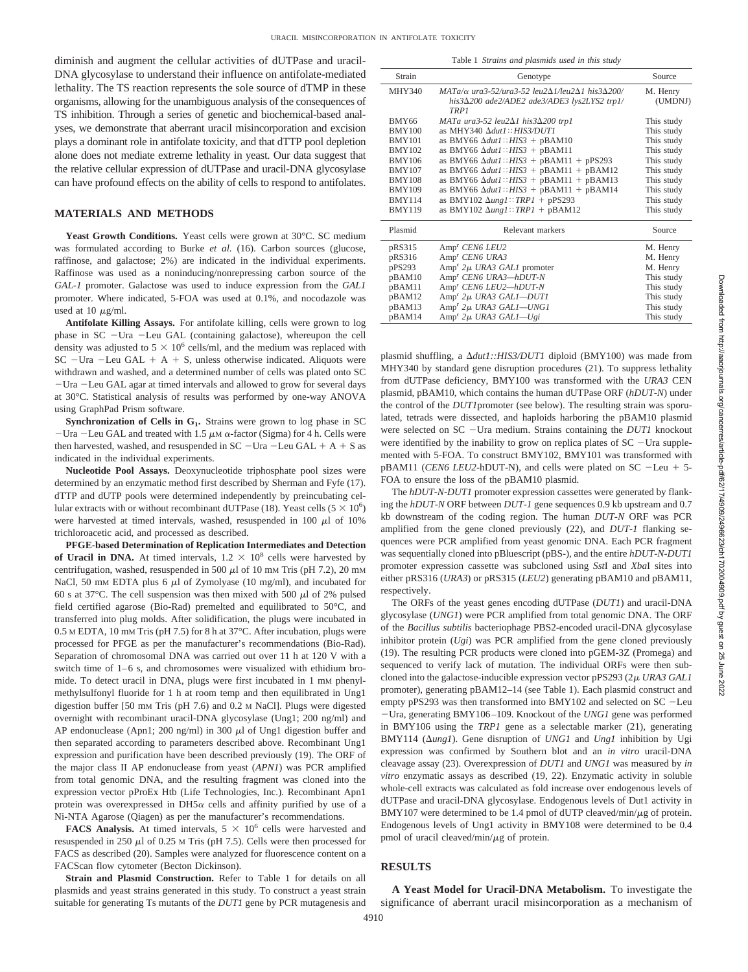diminish and augment the cellular activities of dUTPase and uracil-DNA glycosylase to understand their influence on antifolate-mediated lethality. The TS reaction represents the sole source of dTMP in these organisms, allowing for the unambiguous analysis of the consequences of TS inhibition. Through a series of genetic and biochemical-based analyses, we demonstrate that aberrant uracil misincorporation and excision plays a dominant role in antifolate toxicity, and that dTTP pool depletion alone does not mediate extreme lethality in yeast. Our data suggest that the relative cellular expression of dUTPase and uracil-DNA glycosylase can have profound effects on the ability of cells to respond to antifolates.

## **MATERIALS AND METHODS**

**Yeast Growth Conditions.** Yeast cells were grown at 30°C. SC medium was formulated according to Burke *et al.* (16). Carbon sources (glucose, raffinose, and galactose; 2%) are indicated in the individual experiments. Raffinose was used as a noninducing/nonrepressing carbon source of the *GAL-1* promoter. Galactose was used to induce expression from the *GAL1* promoter. Where indicated, 5-FOA was used at 0.1%, and nocodazole was used at  $10 \mu$ g/ml.

**Antifolate Killing Assays.** For antifolate killing, cells were grown to log phase in SC -Ura -Leu GAL (containing galactose), whereupon the cell density was adjusted to  $5 \times 10^6$  cells/ml, and the medium was replaced with  $SC$  -Ura -Leu GAL + A + S, unless otherwise indicated. Aliquots were withdrawn and washed, and a determined number of cells was plated onto SC -Ura -Leu GAL agar at timed intervals and allowed to grow for several days at 30°C. Statistical analysis of results was performed by one-way ANOVA using GraphPad Prism software.

**Synchronization of Cells in G<sub>1</sub>.** Strains were grown to log phase in SC  $-$ Ura  $-$ Leu GAL and treated with 1.5  $\mu$ M  $\alpha$ -factor (Sigma) for 4 h. Cells were then harvested, washed, and resuspended in  $SC - Ura$  - Leu  $GAL + A + S$  as indicated in the individual experiments.

**Nucleotide Pool Assays.** Deoxynucleotide triphosphate pool sizes were determined by an enzymatic method first described by Sherman and Fyfe (17). dTTP and dUTP pools were determined independently by preincubating cellular extracts with or without recombinant dUTPase (18). Yeast cells  $(5 \times 10^6)$ were harvested at timed intervals, washed, resuspended in 100  $\mu$ l of 10% trichloroacetic acid, and processed as described.

**PFGE-based Determination of Replication Intermediates and Detection** of Uracil in DNA. At timed intervals,  $1.2 \times 10^8$  cells were harvested by centrifugation, washed, resuspended in 500  $\mu$ l of 10 mM Tris (pH 7.2), 20 mM NaCl, 50 mm EDTA plus 6  $\mu$ l of Zymolyase (10 mg/ml), and incubated for 60 s at 37 $^{\circ}$ C. The cell suspension was then mixed with 500  $\mu$ l of 2% pulsed field certified agarose (Bio-Rad) premelted and equilibrated to 50°C, and transferred into plug molds. After solidification, the plugs were incubated in 0.5 M EDTA, 10 mM Tris (pH 7.5) for 8 h at 37°C. After incubation, plugs were processed for PFGE as per the manufacturer's recommendations (Bio-Rad). Separation of chromosomal DNA was carried out over 11 h at 120 V with a switch time of 1–6 s, and chromosomes were visualized with ethidium bromide. To detect uracil in DNA, plugs were first incubated in 1 mm phenylmethylsulfonyl fluoride for 1 h at room temp and then equilibrated in Ung1 digestion buffer [50 mM Tris (pH 7.6) and 0.2 M NaCl]. Plugs were digested overnight with recombinant uracil-DNA glycosylase (Ung1; 200 ng/ml) and AP endonuclease (Apn1; 200 ng/ml) in 300  $\mu$ l of Ung1 digestion buffer and then separated according to parameters described above. Recombinant Ung1 expression and purification have been described previously (19). The ORF of the major class II AP endonuclease from yeast (*APN1*) was PCR amplified from total genomic DNA, and the resulting fragment was cloned into the expression vector pProEx Htb (Life Technologies, Inc.). Recombinant Apn1 protein was overexpressed in  $DH5\alpha$  cells and affinity purified by use of a Ni-NTA Agarose (Qiagen) as per the manufacturer's recommendations.

**FACS Analysis.** At timed intervals,  $5 \times 10^6$  cells were harvested and resuspended in 250  $\mu$ l of 0.25 M Tris (pH 7.5). Cells were then processed for FACS as described (20). Samples were analyzed for fluorescence content on a FACScan flow cytometer (Becton Dickinson).

**Strain and Plasmid Construction.** Refer to Table 1 for details on all plasmids and yeast strains generated in this study. To construct a yeast strain suitable for generating Ts mutants of the *DUT1* gene by PCR mutagenesis and

|  | Table 1 Strains and plasmids used in this study |  |  |
|--|-------------------------------------------------|--|--|
|  |                                                 |  |  |

| Strain        | Genotype                                                                                                                                       | Source              |
|---------------|------------------------------------------------------------------------------------------------------------------------------------------------|---------------------|
| <b>MHY340</b> | $MATa/\alpha$ ura3-52/ura3-52 leu2 $\Delta1$ /leu2 $\Delta1$ his3 $\Delta200/$<br>his3 $\Delta$ 200 ade2/ADE2 ade3/ADE3 lys2LYS2 trp1/<br>TRP1 | M. Henry<br>(UMDNJ) |
| <b>BMY66</b>  | MATa ura3-52 leu2 $\Delta$ 1 his3 $\Delta$ 200 trp1                                                                                            | This study          |
| <b>BMY100</b> | as MHY340 $\Delta dut1$ :: HIS3/DUT1                                                                                                           | This study          |
| <b>BMY101</b> | as BMY66 $\Delta du t1$ :: HIS3 + pBAM10                                                                                                       | This study          |
| <b>BMY102</b> | as BMY66 $\Delta du t1$ :: HIS3 + pBAM11                                                                                                       | This study          |
| <b>BMY106</b> | as BMY66 $\Delta du t1$ :: HIS3 + pBAM11 + pPS293                                                                                              | This study          |
| <b>BMY107</b> | as BMY66 $\Delta du t1$ :: HIS3 + pBAM11 + pBAM12                                                                                              | This study          |
| <b>BMY108</b> | as BMY66 $\Delta du t1$ :: HIS3 + pBAM11 + pBAM13                                                                                              | This study          |
| <b>BMY109</b> | as BMY66 $\Delta dut1$ :: HIS3 + pBAM11 + pBAM14                                                                                               | This study          |
| <b>BMY114</b> | as BMY102 $\Delta$ ung1::TRP1 + pPS293                                                                                                         | This study          |
| <b>BMY119</b> | as BMY102 $\Delta ungl::TRPI + pBAM12$                                                                                                         | This study          |
| Plasmid       | Relevant markers                                                                                                                               | Source              |
| pRS315        | Amp <sup>r</sup> CEN6 LEU2                                                                                                                     | M. Henry            |
| pRS316        | Amp <sup>r</sup> CEN6 URA3                                                                                                                     | M. Henry            |
| pPS293        | Amp <sup>r</sup> 2μ URA3 GAL1 promoter                                                                                                         | M. Henry            |
| pBAM10        | Amp <sup>r</sup> CEN6 URA3-hDUT-N                                                                                                              | This study          |
| pBAM11        | Amp <sup>r</sup> CEN6 LEU2-hDUT-N                                                                                                              | This study          |
| pBAM12        | Amp <sup>r</sup> 2µ URA3 GAL1-DUT1                                                                                                             | This study          |
| pBAM13        | Amp <sup>r</sup> 2μ URA3 GAL1—UNG1                                                                                                             | This study          |
| pBAM14        | Amp <sup>r</sup> 2µ URA3 GAL1-Ugi                                                                                                              | This study          |

plasmid shuffling, a *dut1::HIS3/DUT1* diploid (BMY100) was made from MHY340 by standard gene disruption procedures (21). To suppress lethality from dUTPase deficiency, BMY100 was transformed with the *URA3* CEN plasmid, pBAM10, which contains the human dUTPase ORF (*hDUT-N*) under the control of the *DUT1*promoter (see below). The resulting strain was sporulated, tetrads were dissected, and haploids harboring the pBAM10 plasmid were selected on SC - Ura medium. Strains containing the *DUT1* knockout were identified by the inability to grow on replica plates of  $SC$  -Ura supplemented with 5-FOA. To construct BMY102, BMY101 was transformed with  $pBAM11$  (*CEN6 LEU2*-hDUT-N), and cells were plated on SC -Leu + 5-FOA to ensure the loss of the pBAM10 plasmid.

The *hDUT-N-DUT1* promoter expression cassettes were generated by flanking the *hDUT-N* ORF between *DUT-1* gene sequences 0.9 kb upstream and 0.7 kb downstream of the coding region. The human *DUT-N* ORF was PCR amplified from the gene cloned previously (22), and *DUT-1* flanking sequences were PCR amplified from yeast genomic DNA. Each PCR fragment was sequentially cloned into pBluescript (pBS-), and the entire *hDUT-N-DUT1* promoter expression cassette was subcloned using *Sst*I and *Xba*I sites into either pRS316 (*URA3*) or pRS315 (*LEU2*) generating pBAM10 and pBAM11, respectively.

The ORFs of the yeast genes encoding dUTPase (*DUT1*) and uracil-DNA glycosylase (*UNG1*) were PCR amplified from total genomic DNA. The ORF of the *Bacillus subtilis* bacteriophage PBS2-encoded uracil-DNA glycosylase inhibitor protein (*Ugi*) was PCR amplified from the gene cloned previously (19). The resulting PCR products were cloned into pGEM-3Z (Promega) and sequenced to verify lack of mutation. The individual ORFs were then subcloned into the galactose-inducible expression vector pPS293 (2µ URA3 GAL1) promoter), generating pBAM12–14 (see Table 1). Each plasmid construct and empty pPS293 was then transformed into BMY102 and selected on SC -Leu -Ura, generating BMY106–109. Knockout of the *UNG1* gene was performed in BMY106 using the *TRP1* gene as a selectable marker (21), generating BMY114 ( $\Delta$ ung1). Gene disruption of *UNG1* and *Ung1* inhibition by Ugi expression was confirmed by Southern blot and an *in vitro* uracil-DNA cleavage assay (23). Overexpression of *DUT1* and *UNG1* was measured by *in vitro* enzymatic assays as described (19, 22). Enzymatic activity in soluble whole-cell extracts was calculated as fold increase over endogenous levels of dUTPase and uracil-DNA glycosylase. Endogenous levels of Dut1 activity in BMY107 were determined to be 1.4 pmol of dUTP cleaved/min/ $\mu$ g of protein. Endogenous levels of Ung1 activity in BMY108 were determined to be 0.4 pmol of uracil cleaved/min/ $\mu$ g of protein.

### **RESULTS**

**A Yeast Model for Uracil-DNA Metabolism.** To investigate the significance of aberrant uracil misincorporation as a mechanism of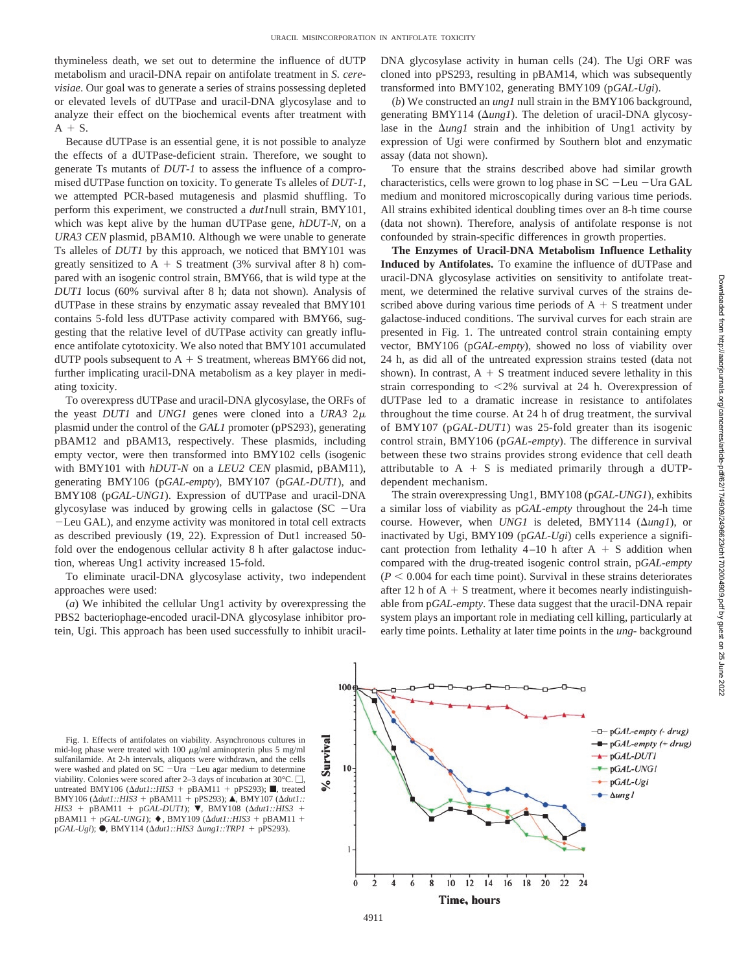thymineless death, we set out to determine the influence of dUTP metabolism and uracil-DNA repair on antifolate treatment in *S. cerevisiae*. Our goal was to generate a series of strains possessing depleted or elevated levels of dUTPase and uracil-DNA glycosylase and to analyze their effect on the biochemical events after treatment with  $A + S$ .

Because dUTPase is an essential gene, it is not possible to analyze the effects of a dUTPase-deficient strain. Therefore, we sought to generate Ts mutants of *DUT-1* to assess the influence of a compromised dUTPase function on toxicity. To generate Ts alleles of *DUT-1*, we attempted PCR-based mutagenesis and plasmid shuffling. To perform this experiment, we constructed a *dut1*null strain, BMY101, which was kept alive by the human dUTPase gene, *hDUT-N,* on a *URA3 CEN* plasmid, pBAM10. Although we were unable to generate Ts alleles of *DUT1* by this approach, we noticed that BMY101 was greatly sensitized to  $A + S$  treatment (3% survival after 8 h) compared with an isogenic control strain, BMY66, that is wild type at the *DUT1* locus (60% survival after 8 h; data not shown)*.* Analysis of dUTPase in these strains by enzymatic assay revealed that BMY101 contains 5-fold less dUTPase activity compared with BMY66, suggesting that the relative level of dUTPase activity can greatly influence antifolate cytotoxicity. We also noted that BMY101 accumulated dUTP pools subsequent to  $A + S$  treatment, whereas BMY66 did not, further implicating uracil-DNA metabolism as a key player in mediating toxicity.

To overexpress dUTPase and uracil-DNA glycosylase, the ORFs of the yeast *DUT1* and *UNG1* genes were cloned into a *URA3* 2 plasmid under the control of the *GAL1* promoter (pPS293), generating pBAM12 and pBAM13, respectively. These plasmids, including empty vector, were then transformed into BMY102 cells (isogenic with BMY101 with *hDUT-N* on a *LEU2 CEN* plasmid, pBAM11), generating BMY106 (p*GAL-empty*), BMY107 (p*GAL-DUT1*), and BMY108 (p*GAL-UNG1*). Expression of dUTPase and uracil-DNA glycosylase was induced by growing cells in galactose  $SC$  -Ura -Leu GAL), and enzyme activity was monitored in total cell extracts as described previously (19, 22). Expression of Dut1 increased 50 fold over the endogenous cellular activity 8 h after galactose induction, whereas Ung1 activity increased 15-fold.

To eliminate uracil-DNA glycosylase activity, two independent approaches were used:

(*a*) We inhibited the cellular Ung1 activity by overexpressing the PBS2 bacteriophage-encoded uracil-DNA glycosylase inhibitor protein, Ugi. This approach has been used successfully to inhibit uracilDNA glycosylase activity in human cells (24). The Ugi ORF was cloned into pPS293, resulting in pBAM14*,* which was subsequently transformed into BMY102, generating BMY109 (p*GAL-Ugi*).

(*b*) We constructed an *ung1* null strain in the BMY106 background, generating BMY114 ( $\Delta ungl$ ). The deletion of uracil-DNA glycosylase in the  $\Delta$ ung1 strain and the inhibition of Ung1 activity by expression of Ugi were confirmed by Southern blot and enzymatic assay (data not shown).

To ensure that the strains described above had similar growth characteristics, cells were grown to log phase in SC -Leu -Ura GAL medium and monitored microscopically during various time periods. All strains exhibited identical doubling times over an 8-h time course (data not shown). Therefore, analysis of antifolate response is not confounded by strain-specific differences in growth properties.

**The Enzymes of Uracil-DNA Metabolism Influence Lethality Induced by Antifolates.** To examine the influence of dUTPase and uracil-DNA glycosylase activities on sensitivity to antifolate treatment, we determined the relative survival curves of the strains described above during various time periods of  $A + S$  treatment under galactose-induced conditions. The survival curves for each strain are presented in Fig. 1. The untreated control strain containing empty vector, BMY106 (p*GAL-empty*), showed no loss of viability over 24 h, as did all of the untreated expression strains tested (data not shown). In contrast,  $A + S$  treatment induced severe lethality in this strain corresponding to 2% survival at 24 h. Overexpression of dUTPase led to a dramatic increase in resistance to antifolates throughout the time course. At 24 h of drug treatment, the survival of BMY107 (p*GAL-DUT1*) was 25-fold greater than its isogenic control strain, BMY106 (p*GAL-empty*). The difference in survival between these two strains provides strong evidence that cell death attributable to  $A + S$  is mediated primarily through a dUTPdependent mechanism.

The strain overexpressing Ung1, BMY108 (p*GAL-UNG1*), exhibits a similar loss of viability as p*GAL-empty* throughout the 24-h time course. However, when *UNG1* is deleted, BMY114 ( $\Delta ungl$ ), or inactivated by Ugi, BMY109 (p*GAL-Ugi*) cells experience a significant protection from lethality  $4-10$  h after  $A + S$  addition when compared with the drug-treated isogenic control strain, p*GAL-empty*  $(P < 0.004$  for each time point). Survival in these strains deteriorates after 12 h of  $A + S$  treatment, where it becomes nearly indistinguishable from p*GAL-empty*. These data suggest that the uracil-DNA repair system plays an important role in mediating cell killing, particularly at early time points. Lethality at later time points in the *ung-* background

Fig. 1. Effects of antifolates on viability. Asynchronous cultures in mid-log phase were treated with 100  $\mu$ g/ml aminopterin plus 5 mg/ml sulfanilamide. At 2-h intervals, aliquots were withdrawn, and the cells were washed and plated on SC -Ura -Leu agar medium to determine viability. Colonies were scored after 2–3 days of incubation at 30 $^{\circ}$ C.  $\Box$ , untreated BMY106 ( $\Delta du1$ ::HIS3 + pBAM11 + pPS293); , reated  $BMY106 \left(\frac{\Delta du}{1:HIS3} + pBAM11 + pPS293\right);$  **A**, BMY107 ( $\Delta du1$ ::  $HIS3 + pBAM11 + pGAL-DUT1$ ;  $\blacktriangledown$ , BMY108 ( $\Delta dut1$ ::*HIS3* +  $pBAM11 + pGAL-UNG1$ ;  $\blacklozenge$ , BMY109 ( $\Delta dut1$ ::*HIS3* + pBAM11 +  $pGAL-Ugi$ ; ●, BMY114 ( $Δdut1::HIS3 Δung1::TRP1 + pPS293$ ).

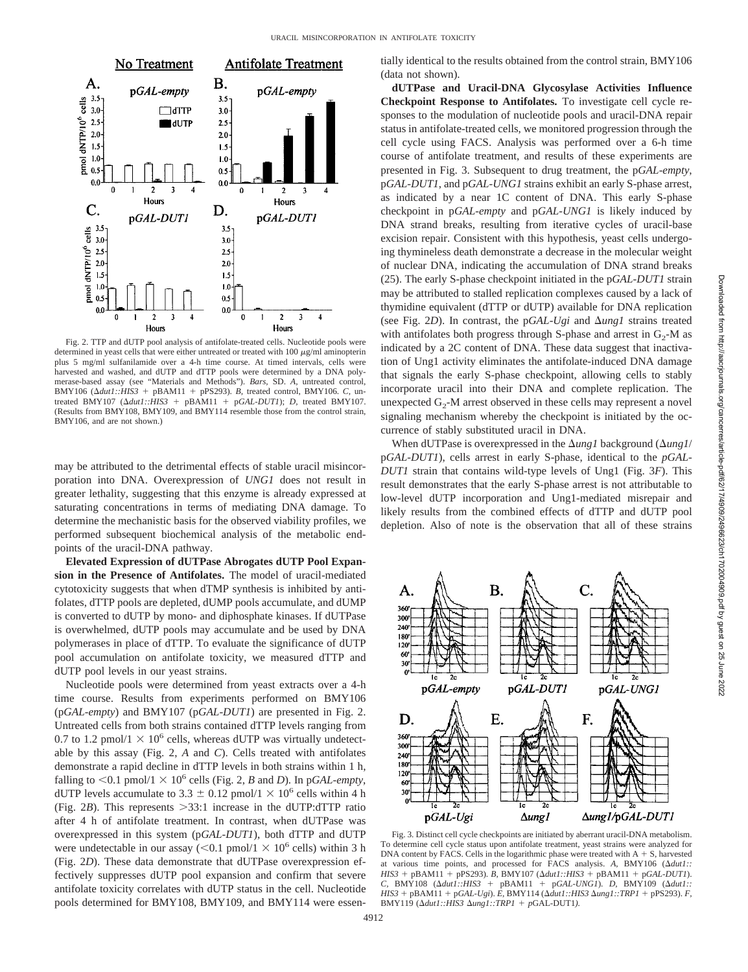

Fig. 2. TTP and dUTP pool analysis of antifolate-treated cells. Nucleotide pools were determined in yeast cells that were either untreated or treated with  $100 \mu g/ml$  aminopterin plus 5 mg/ml sulfanilamide over a 4-h time course. At timed intervals, cells were harvested and washed, and dUTP and dTTP pools were determined by a DNA polymerase-based assay (see "Materials and Methods"). *Bars,* SD. *A,* untreated control, BMY106 ( $\Delta dut1$ :: $HIS3$  + pBAM11 + pPS293). *B*, treated control, BMY106. *C*, untreated BMY107  $(\Delta dut1::HIS3 + pBAM11 + pGAL-DUT1); D$ , treated BMY107. (Results from BMY108, BMY109, and BMY114 resemble those from the control strain, BMY106, and are not shown.)

may be attributed to the detrimental effects of stable uracil misincorporation into DNA. Overexpression of *UNG1* does not result in greater lethality, suggesting that this enzyme is already expressed at saturating concentrations in terms of mediating DNA damage. To determine the mechanistic basis for the observed viability profiles, we performed subsequent biochemical analysis of the metabolic endpoints of the uracil-DNA pathway.

**Elevated Expression of dUTPase Abrogates dUTP Pool Expansion in the Presence of Antifolates.** The model of uracil-mediated cytotoxicity suggests that when dTMP synthesis is inhibited by antifolates, dTTP pools are depleted, dUMP pools accumulate, and dUMP is converted to dUTP by mono- and diphosphate kinases. If dUTPase is overwhelmed, dUTP pools may accumulate and be used by DNA polymerases in place of dTTP. To evaluate the significance of dUTP pool accumulation on antifolate toxicity, we measured dTTP and dUTP pool levels in our yeast strains.

Nucleotide pools were determined from yeast extracts over a 4-h time course. Results from experiments performed on BMY106 (p*GAL-empty*) and BMY107 (p*GAL-DUT1*) are presented in Fig. 2. Untreated cells from both strains contained dTTP levels ranging from 0.7 to 1.2 pmol/1  $\times$  10<sup>6</sup> cells, whereas dUTP was virtually undetectable by this assay (Fig. 2, *A* and *C*). Cells treated with antifolates demonstrate a rapid decline in dTTP levels in both strains within 1 h, falling to  $\leq 0.1$  pmol/1  $\times$  10<sup>6</sup> cells (Fig. 2, *B* and *D*). In p*GAL-empty*, dUTP levels accumulate to 3.3  $\pm$  0.12 pmol/1  $\times$  10<sup>6</sup> cells within 4 h (Fig.  $2B$ ). This represents  $>33:1$  increase in the dUTP:dTTP ratio after 4 h of antifolate treatment. In contrast, when dUTPase was overexpressed in this system (p*GAL-DUT1*), both dTTP and dUTP were undetectable in our assay ( $\leq 0.1$  pmol/1  $\times$  10<sup>6</sup> cells) within 3 h (Fig. 2*D*). These data demonstrate that dUTPase overexpression effectively suppresses dUTP pool expansion and confirm that severe antifolate toxicity correlates with dUTP status in the cell. Nucleotide pools determined for BMY108, BMY109, and BMY114 were essentially identical to the results obtained from the control strain, BMY106 (data not shown).

**dUTPase and Uracil-DNA Glycosylase Activities Influence Checkpoint Response to Antifolates.** To investigate cell cycle responses to the modulation of nucleotide pools and uracil-DNA repair status in antifolate-treated cells, we monitored progression through the cell cycle using FACS. Analysis was performed over a 6-h time course of antifolate treatment, and results of these experiments are presented in Fig. 3. Subsequent to drug treatment, the p*GAL-empty*, p*GAL-DUT1*, and p*GAL-UNG1* strains exhibit an early S-phase arrest, as indicated by a near 1C content of DNA. This early S-phase checkpoint in p*GAL-empty* and p*GAL-UNG1* is likely induced by DNA strand breaks, resulting from iterative cycles of uracil-base excision repair. Consistent with this hypothesis, yeast cells undergoing thymineless death demonstrate a decrease in the molecular weight of nuclear DNA, indicating the accumulation of DNA strand breaks (25). The early S-phase checkpoint initiated in the p*GAL-DUT1* strain may be attributed to stalled replication complexes caused by a lack of thymidine equivalent (dTTP or dUTP) available for DNA replication (see Fig. 2*D*). In contrast, the  $pGAL-Ugi$  and  $\Delta ungl$  strains treated with antifolates both progress through S-phase and arrest in  $G_2$ -M as indicated by a 2C content of DNA. These data suggest that inactivation of Ung1 activity eliminates the antifolate-induced DNA damage that signals the early S-phase checkpoint, allowing cells to stably incorporate uracil into their DNA and complete replication. The unexpected  $G_2$ -M arrest observed in these cells may represent a novel signaling mechanism whereby the checkpoint is initiated by the occurrence of stably substituted uracil in DNA.

When dUTPase is overexpressed in the  $\Delta$ *ung1* background ( $\Delta$ *ung1*/ p*GAL-DUT1*), cells arrest in early S-phase, identical to the *pGAL-DUT1* strain that contains wild-type levels of Ung1 (Fig. 3*F*). This result demonstrates that the early S-phase arrest is not attributable to low-level dUTP incorporation and Ung1-mediated misrepair and likely results from the combined effects of dTTP and dUTP pool depletion. Also of note is the observation that all of these strains



Fig. 3. Distinct cell cycle checkpoints are initiated by aberrant uracil-DNA metabolism. To determine cell cycle status upon antifolate treatment, yeast strains were analyzed for DNA content by FACS. Cells in the logarithmic phase were treated with  $A + S$ , harvested at various time points, and processed for FACS analysis. *A,* BMY106 (*dut1::*  $HIS3 + pBAM11 + pPS293$ . *B,* BMY107 ( $\Delta dut1$ :: $HIS3 + pBAM11 + pGAL-DUT1$ ). *C,* BMY108 (*dut1::HIS3* pBAM11 p*GAL-UNG1*). *D,* BMY109 (*dut1:: HIS3* pBAM11 p*GAL-Ugi*). *E,* BMY114 (*dut1::HIS3 ung1::TRP1* pPS293). *F,* BMY119 ( $\Delta dut1$ ::HIS3  $\Delta ung1$ ::TRP1 + pGAL-DUT1).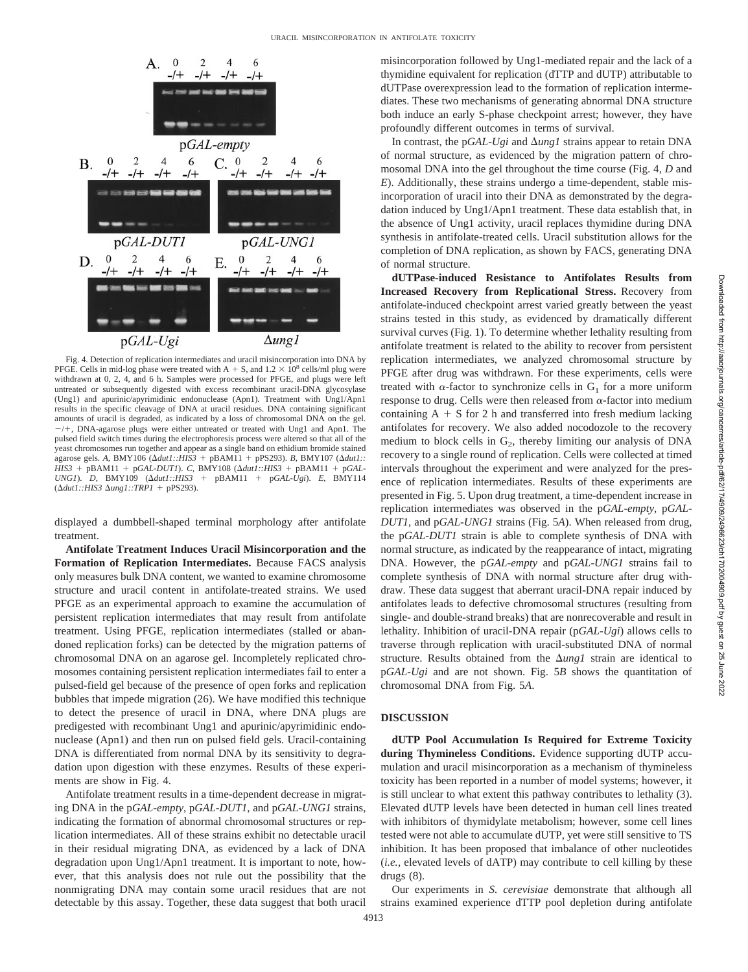

Fig. 4. Detection of replication intermediates and uracil misincorporation into DNA by PFGE. Cells in mid-log phase were treated with A + S, and  $1.2 \times 10^8$  cells/ml plug were withdrawn at 0, 2, 4, and 6 h. Samples were processed for PFGE, and plugs were left untreated or subsequently digested with excess recombinant uracil-DNA glycosylase (Ung1) and apurinic/apyrimidinic endonuclease (Apn1). Treatment with Ung1/Apn1 results in the specific cleavage of DNA at uracil residues. DNA containing significant amounts of uracil is degraded, as indicated by a loss of chromosomal DNA on the gel.  $-/+$ , DNA-agarose plugs were either untreated or treated with Ung1 and Apn1. The pulsed field switch times during the electrophoresis process were altered so that all of the yeast chromosomes run together and appear as a single band on ethidium bromide stained agarose gels. *A,* BMY106 (*dut1::HIS3* pBAM11 pPS293). *B,* BMY107 (*dut1:: HIS3* + pBAM11 + p*GAL-DUT1*). *C*, BMY108 ( $\Delta dut1$ ::*HIS3* + pBAM11 + p*GAL-UNG1*). *D*, BMY109 ( $\Delta dut1$ ::*HIS3* + pBAM11 + p*GAL-Ugi*). *E*, BMY114 *UNG1*). *D,* BMY109 (*dut1::HIS3* pBAM11 p*GAL-Ugi*). *E,* BMY114 (*dut1::HIS3 ung1::TRP1* pPS293).

displayed a dumbbell-shaped terminal morphology after antifolate treatment.

**Antifolate Treatment Induces Uracil Misincorporation and the Formation of Replication Intermediates.** Because FACS analysis only measures bulk DNA content, we wanted to examine chromosome structure and uracil content in antifolate-treated strains. We used PFGE as an experimental approach to examine the accumulation of persistent replication intermediates that may result from antifolate treatment. Using PFGE, replication intermediates (stalled or abandoned replication forks) can be detected by the migration patterns of chromosomal DNA on an agarose gel. Incompletely replicated chromosomes containing persistent replication intermediates fail to enter a pulsed-field gel because of the presence of open forks and replication bubbles that impede migration (26). We have modified this technique to detect the presence of uracil in DNA, where DNA plugs are predigested with recombinant Ung1 and apurinic/apyrimidinic endonuclease (Apn1) and then run on pulsed field gels. Uracil-containing DNA is differentiated from normal DNA by its sensitivity to degradation upon digestion with these enzymes. Results of these experiments are show in Fig. 4.

Antifolate treatment results in a time-dependent decrease in migrating DNA in the p*GAL-empty*, p*GAL-DUT1*, and p*GAL-UNG1* strains, indicating the formation of abnormal chromosomal structures or replication intermediates. All of these strains exhibit no detectable uracil in their residual migrating DNA, as evidenced by a lack of DNA degradation upon Ung1/Apn1 treatment. It is important to note, however, that this analysis does not rule out the possibility that the nonmigrating DNA may contain some uracil residues that are not detectable by this assay. Together, these data suggest that both uracil misincorporation followed by Ung1-mediated repair and the lack of a thymidine equivalent for replication (dTTP and dUTP) attributable to dUTPase overexpression lead to the formation of replication intermediates. These two mechanisms of generating abnormal DNA structure both induce an early S-phase checkpoint arrest; however, they have profoundly different outcomes in terms of survival.

In contrast, the p*GAL-Ugi* and  $\Delta ungl$  strains appear to retain DNA of normal structure, as evidenced by the migration pattern of chromosomal DNA into the gel throughout the time course (Fig. 4, *D* and *E*). Additionally, these strains undergo a time-dependent, stable misincorporation of uracil into their DNA as demonstrated by the degradation induced by Ung1/Apn1 treatment. These data establish that, in the absence of Ung1 activity, uracil replaces thymidine during DNA synthesis in antifolate-treated cells. Uracil substitution allows for the completion of DNA replication, as shown by FACS, generating DNA of normal structure.

**dUTPase-induced Resistance to Antifolates Results from Increased Recovery from Replicational Stress.** Recovery from antifolate-induced checkpoint arrest varied greatly between the yeast strains tested in this study, as evidenced by dramatically different survival curves (Fig. 1). To determine whether lethality resulting from antifolate treatment is related to the ability to recover from persistent replication intermediates, we analyzed chromosomal structure by PFGE after drug was withdrawn. For these experiments, cells were treated with  $\alpha$ -factor to synchronize cells in  $G_1$  for a more uniform response to drug. Cells were then released from  $\alpha$ -factor into medium containing  $A + S$  for 2 h and transferred into fresh medium lacking antifolates for recovery. We also added nocodozole to the recovery medium to block cells in  $G_2$ , thereby limiting our analysis of DNA recovery to a single round of replication. Cells were collected at timed intervals throughout the experiment and were analyzed for the presence of replication intermediates. Results of these experiments are presented in Fig. 5. Upon drug treatment, a time-dependent increase in replication intermediates was observed in the p*GAL-empty*, p*GAL-DUT1*, and p*GAL-UNG1* strains (Fig. 5*A*). When released from drug, the p*GAL-DUT1* strain is able to complete synthesis of DNA with normal structure, as indicated by the reappearance of intact, migrating DNA. However, the p*GAL-empty* and p*GAL-UNG1* strains fail to complete synthesis of DNA with normal structure after drug withdraw. These data suggest that aberrant uracil-DNA repair induced by antifolates leads to defective chromosomal structures (resulting from single- and double-strand breaks) that are nonrecoverable and result in lethality. Inhibition of uracil-DNA repair (p*GAL-Ugi*) allows cells to traverse through replication with uracil-substituted DNA of normal structure. Results obtained from the  $\Delta ungl$  strain are identical to p*GAL-Ugi* and are not shown. Fig. 5*B* shows the quantitation of chromosomal DNA from Fig. 5*A*.

### **DISCUSSION**

**dUTP Pool Accumulation Is Required for Extreme Toxicity during Thymineless Conditions.** Evidence supporting dUTP accumulation and uracil misincorporation as a mechanism of thymineless toxicity has been reported in a number of model systems; however, it is still unclear to what extent this pathway contributes to lethality (3). Elevated dUTP levels have been detected in human cell lines treated with inhibitors of thymidylate metabolism; however, some cell lines tested were not able to accumulate dUTP, yet were still sensitive to TS inhibition. It has been proposed that imbalance of other nucleotides (*i.e.,* elevated levels of dATP) may contribute to cell killing by these drugs (8).

Our experiments in *S. cerevisiae* demonstrate that although all strains examined experience dTTP pool depletion during antifolate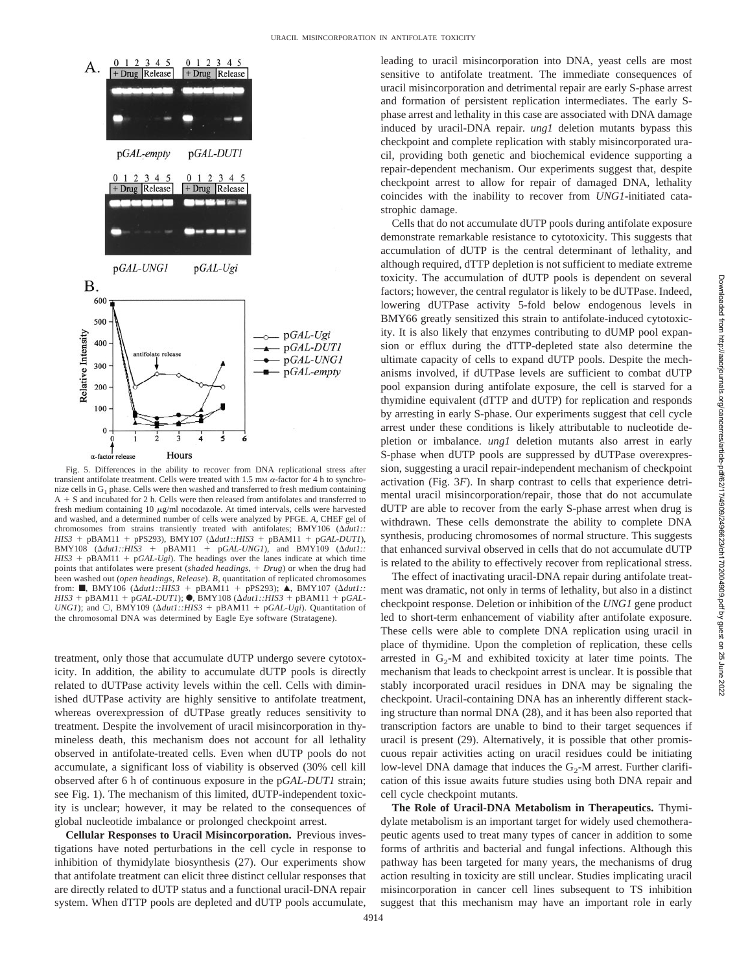

Fig. 5. Differences in the ability to recover from DNA replicational stress after transient antifolate treatment. Cells were treated with  $1.5 \text{ mm}$   $\alpha$ -factor for 4 h to synchronize cells in G<sub>1</sub> phase. Cells were then washed and transferred to fresh medium containing  $A + S$  and incubated for 2 h. Cells were then released from antifolates and transferred to fresh medium containing 10  $\mu$ g/ml nocodazole. At timed intervals, cells were harvested and washed, and a determined number of cells were analyzed by PFGE. *A,* CHEF gel of chromosomes from strains transiently treated with antifolates; BMY106 (*dut1::*  $HIS3 + pBAM11 + pPS293$ ,  $BMY107 (\Delta du1::HIS3 + pBAM11 + pGAL-DUT1)$ ,  $\text{BMY108}$  ( $\Delta \text{d} \text{u} \text{t} \text{1}$ :: $\text{HIS3}$  +  $\text{pBAM11}$  +  $\text{pGAL-UNGI}$ ), and  $\text{BMY109}$  ( $\Delta \text{d} \text{u} \text{t} \text{1}$ ::  $HIS3$  + pBAM11 + p*GAL-Ugi*). The headings over the lanes indicate at which time points that antifolates were present (*shaded headings, Drug*) or when the drug had been washed out (*open headings, Release*). *B,* quantitation of replicated chromosomes from: ■, BMY106 ( $\Delta dutl::HIS3$  + pBAM11 + pPS293); ▲, BMY107 ( $\Delta dutl::$  $HIS3 + pBAM11 + pGAL-DUT1$ ;  $\bullet$ , BMY108 ( $\Delta dut1$ ::*HIS3* + pBAM11 + p*GAL*-*UNG1*); and  $\bigcirc$ , BMY109 ( $\Delta \frac{du}{1:HSS}$  + pBAM11 + p*GAL-Ugi*). Quantitation of the chromosomal DNA was determined by Eagle Eye software (Stratagene).

treatment, only those that accumulate dUTP undergo severe cytotoxicity. In addition, the ability to accumulate dUTP pools is directly related to dUTPase activity levels within the cell. Cells with diminished dUTPase activity are highly sensitive to antifolate treatment, whereas overexpression of dUTPase greatly reduces sensitivity to treatment. Despite the involvement of uracil misincorporation in thymineless death, this mechanism does not account for all lethality observed in antifolate-treated cells. Even when dUTP pools do not accumulate, a significant loss of viability is observed (30% cell kill observed after 6 h of continuous exposure in the p*GAL-DUT1* strain; see Fig. 1). The mechanism of this limited, dUTP-independent toxicity is unclear; however, it may be related to the consequences of global nucleotide imbalance or prolonged checkpoint arrest.

**Cellular Responses to Uracil Misincorporation.** Previous investigations have noted perturbations in the cell cycle in response to inhibition of thymidylate biosynthesis (27). Our experiments show that antifolate treatment can elicit three distinct cellular responses that are directly related to dUTP status and a functional uracil-DNA repair system. When dTTP pools are depleted and dUTP pools accumulate, leading to uracil misincorporation into DNA, yeast cells are most sensitive to antifolate treatment. The immediate consequences of uracil misincorporation and detrimental repair are early S-phase arrest and formation of persistent replication intermediates. The early Sphase arrest and lethality in this case are associated with DNA damage induced by uracil-DNA repair. *ung1* deletion mutants bypass this checkpoint and complete replication with stably misincorporated uracil, providing both genetic and biochemical evidence supporting a repair-dependent mechanism. Our experiments suggest that, despite checkpoint arrest to allow for repair of damaged DNA, lethality coincides with the inability to recover from *UNG1*-initiated catastrophic damage.

Cells that do not accumulate dUTP pools during antifolate exposure demonstrate remarkable resistance to cytotoxicity. This suggests that accumulation of dUTP is the central determinant of lethality, and although required, dTTP depletion is not sufficient to mediate extreme toxicity. The accumulation of dUTP pools is dependent on several factors; however, the central regulator is likely to be dUTPase. Indeed, lowering dUTPase activity 5-fold below endogenous levels in BMY66 greatly sensitized this strain to antifolate-induced cytotoxicity. It is also likely that enzymes contributing to dUMP pool expansion or efflux during the dTTP-depleted state also determine the ultimate capacity of cells to expand dUTP pools. Despite the mechanisms involved, if dUTPase levels are sufficient to combat dUTP pool expansion during antifolate exposure, the cell is starved for a thymidine equivalent (dTTP and dUTP) for replication and responds by arresting in early S-phase. Our experiments suggest that cell cycle arrest under these conditions is likely attributable to nucleotide depletion or imbalance. *ung1* deletion mutants also arrest in early S-phase when dUTP pools are suppressed by dUTPase overexpression, suggesting a uracil repair-independent mechanism of checkpoint activation (Fig. 3*F*). In sharp contrast to cells that experience detrimental uracil misincorporation/repair, those that do not accumulate dUTP are able to recover from the early S-phase arrest when drug is withdrawn. These cells demonstrate the ability to complete DNA synthesis, producing chromosomes of normal structure. This suggests that enhanced survival observed in cells that do not accumulate dUTP is related to the ability to effectively recover from replicational stress.

The effect of inactivating uracil-DNA repair during antifolate treatment was dramatic, not only in terms of lethality, but also in a distinct checkpoint response. Deletion or inhibition of the *UNG1* gene product led to short-term enhancement of viability after antifolate exposure. These cells were able to complete DNA replication using uracil in place of thymidine. Upon the completion of replication, these cells arrested in  $G_2$ -M and exhibited toxicity at later time points. The mechanism that leads to checkpoint arrest is unclear. It is possible that stably incorporated uracil residues in DNA may be signaling the checkpoint. Uracil-containing DNA has an inherently different stacking structure than normal DNA (28), and it has been also reported that transcription factors are unable to bind to their target sequences if uracil is present (29). Alternatively, it is possible that other promiscuous repair activities acting on uracil residues could be initiating low-level DNA damage that induces the  $G<sub>2</sub>$ -M arrest. Further clarification of this issue awaits future studies using both DNA repair and cell cycle checkpoint mutants.

**The Role of Uracil-DNA Metabolism in Therapeutics.** Thymidylate metabolism is an important target for widely used chemotherapeutic agents used to treat many types of cancer in addition to some forms of arthritis and bacterial and fungal infections. Although this pathway has been targeted for many years, the mechanisms of drug action resulting in toxicity are still unclear. Studies implicating uracil misincorporation in cancer cell lines subsequent to TS inhibition suggest that this mechanism may have an important role in early